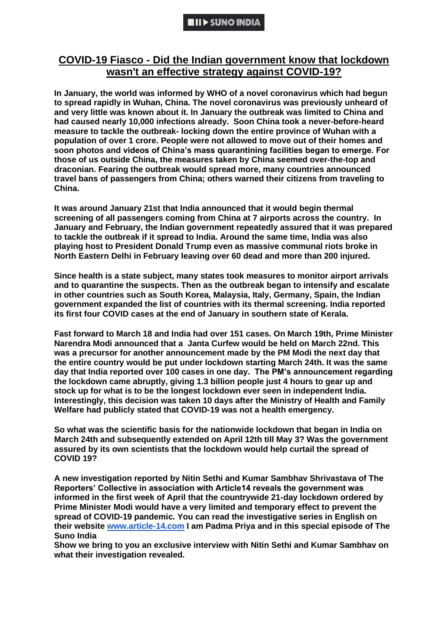# **COVID-19 Fiasco - Did the Indian government know that lockdown wasn't an effective strategy against COVID-19?**

**In January, the world was informed by WHO of a novel coronavirus which had begun to spread rapidly in Wuhan, China. The novel coronavirus was previously unheard of and very little was known about it. In January the outbreak was limited to China and had caused nearly 10,000 infections already. Soon China took a never-before-heard measure to tackle the outbreak- locking down the entire province of Wuhan with a population of over 1 crore. People were not allowed to move out of their homes and soon photos and videos of China's mass quarantining facilities began to emerge. For those of us outside China, the measures taken by China seemed over-the-top and draconian. Fearing the outbreak would spread more, many countries announced travel bans of passengers from China; others warned their citizens from traveling to China.**

**It was around January 21st that India announced that it would begin thermal screening of all passengers coming from China at 7 airports across the country. In January and February, the Indian government repeatedly assured that it was prepared to tackle the outbreak if it spread to India. Around the same time, India was also playing host to President Donald Trump even as massive communal riots broke in North Eastern Delhi in February leaving over 60 dead and more than 200 injured.**

**Since health is a state subject, many states took measures to monitor airport arrivals and to quarantine the suspects. Then as the outbreak began to intensify and escalate in other countries such as South Korea, Malaysia, Italy, Germany, Spain, the Indian government expanded the list of countries with its thermal screening. India reported its first four COVID cases at the end of January in southern state of Kerala.**

**Fast forward to March 18 and India had over 151 cases. On March 19th, Prime Minister Narendra Modi announced that a Janta Curfew would be held on March 22nd. This was a precursor for another announcement made by the PM Modi the next day that the entire country would be put under lockdown starting March 24th. It was the same day that India reported over 100 cases in one day. The PM's announcement regarding the lockdown came abruptly, giving 1.3 billion people just 4 hours to gear up and stock up for what is to be the longest lockdown ever seen in independent India. Interestingly, this decision was taken 10 days after the Ministry of Health and Family Welfare had publicly stated that COVID-19 was not a health emergency.**

**So what was the scientific basis for the nationwide lockdown that began in India on March 24th and subsequently extended on April 12th till May 3? Was the government assured by its own scientists that the lockdown would help curtail the spread of COVID 19?**

**A new investigation reported by Nitin Sethi and Kumar Sambhav Shrivastava of The Reporters' Collective in association with Article14 reveals the government was informed in the first week of April that the countrywide 21-day lockdown ordered by Prime Minister Modi would have a very limited and temporary effect to prevent the spread of COVID-19 pandemic. You can read the investigative series in English on their website [www.article-14.com](http://www.article-14.com/) I am Padma Priya and in this special episode of The Suno India**

**Show we bring to you an exclusive interview with Nitin Sethi and Kumar Sambhav on what their investigation revealed.**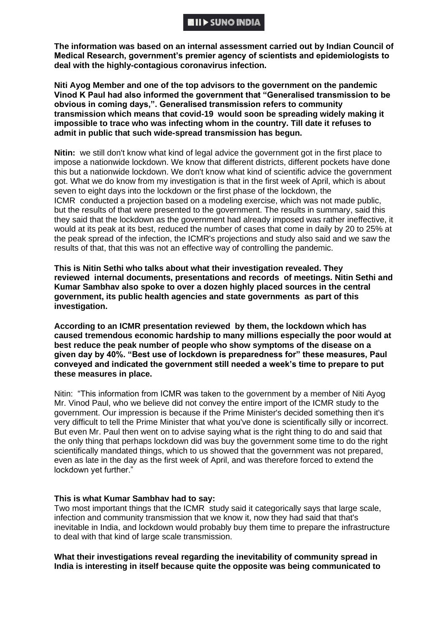### **111 - SUNO INDIA**

**The information was based on an internal assessment carried out by Indian Council of Medical Research, government's premier agency of scientists and epidemiologists to deal with the highly-contagious coronavirus infection.**

**Niti Ayog Member and one of the top advisors to the government on the pandemic Vinod K Paul had also informed the government that "Generalised transmission to be obvious in coming days,". Generalised transmission refers to community transmission which means that covid-19 would soon be spreading widely making it impossible to trace who was infecting whom in the country. Till date it refuses to admit in public that such wide-spread transmission has begun.**

**Nitin:** we still don't know what kind of legal advice the government got in the first place to impose a nationwide lockdown. We know that different districts, different pockets have done this but a nationwide lockdown. We don't know what kind of scientific advice the government got. What we do know from my investigation is that in the first week of April, which is about seven to eight days into the lockdown or the first phase of the lockdown, the ICMR conducted a projection based on a modeling exercise, which was not made public, but the results of that were presented to the government. The results in summary, said this they said that the lockdown as the government had already imposed was rather ineffective, it would at its peak at its best, reduced the number of cases that come in daily by 20 to 25% at the peak spread of the infection, the ICMR's projections and study also said and we saw the results of that, that this was not an effective way of controlling the pandemic.

**This is Nitin Sethi who talks about what their investigation revealed. They reviewed internal documents, presentations and records of meetings. Nitin Sethi and Kumar Sambhav also spoke to over a dozen highly placed sources in the central government, its public health agencies and state governments as part of this investigation.**

**According to an ICMR presentation reviewed by them, the lockdown which has caused tremendous economic hardship to many millions especially the poor would at best reduce the peak number of people who show symptoms of the disease on a given day by 40%. "Best use of lockdown is preparedness for" these measures, Paul conveyed and indicated the government still needed a week's time to prepare to put these measures in place.**

Nitin: "This information from ICMR was taken to the government by a member of Niti Ayog Mr. Vinod Paul, who we believe did not convey the entire import of the ICMR study to the government. Our impression is because if the Prime Minister's decided something then it's very difficult to tell the Prime Minister that what you've done is scientifically silly or incorrect. But even Mr. Paul then went on to advise saying what is the right thing to do and said that the only thing that perhaps lockdown did was buy the government some time to do the right scientifically mandated things, which to us showed that the government was not prepared, even as late in the day as the first week of April, and was therefore forced to extend the lockdown yet further."

#### **This is what Kumar Sambhav had to say:**

Two most important things that the ICMR study said it categorically says that large scale, infection and community transmission that we know it, now they had said that that's inevitable in India, and lockdown would probably buy them time to prepare the infrastructure to deal with that kind of large scale transmission.

**What their investigations reveal regarding the inevitability of community spread in India is interesting in itself because quite the opposite was being communicated to**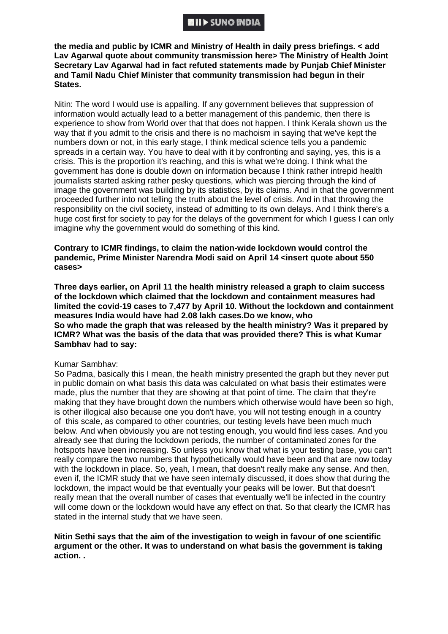**the media and public by ICMR and Ministry of Health in daily press briefings. < add**  Lav Agarwal quote about community transmission here> The Ministry of Health Joint **Secretary Lav Agarwal had in fact refuted statements made by Punjab Chief Minister and Tamil Nadu Chief Minister that community transmission had begun in their States.** 

Nitin: The word I would use is appalling. If any government believes that suppression of information would actually lead to a better management of this pandemic, then there is experience to show from World over that that does not happen. I think Kerala shown us the way that if you admit to the crisis and there is no machoism in saying that we've kept the numbers down or not, in this early stage, I think medical science tells you a pandemic spreads in a certain way. You have to deal with it by confronting and saying, yes, this is a crisis. This is the proportion it's reaching, and this is what we're doing. I think what the government has done is double down on information because I think rather intrepid health journalists started asking rather pesky questions, which was piercing through the kind of image the government was building by its statistics, by its claims. And in that the government proceeded further into not telling the truth about the level of crisis. And in that throwing the responsibility on the civil society, instead of admitting to its own delays. And I think there's a huge cost first for society to pay for the delays of the government for which I guess I can only imagine why the government would do something of this kind.

### **Contrary to ICMR findings, to claim the nation-wide lockdown would control the pandemic, Prime Minister Narendra Modi said on April 14 <insert quote about 550 cases>**

**Three days earlier, on April 11 the health ministry released a graph to claim success of the lockdown which claimed that the lockdown and containment measures had limited the covid-19 cases to 7,477 by April 10. Without the lockdown and containment measures India would have had 2.08 lakh cases.Do we know, who So who made the graph that was released by the health ministry? Was it prepared by ICMR? What was the basis of the data that was provided there? This is what Kumar Sambhav had to say:**

#### Kumar Sambhav:

So Padma, basically this I mean, the health ministry presented the graph but they never put in public domain on what basis this data was calculated on what basis their estimates were made, plus the number that they are showing at that point of time. The claim that they're making that they have brought down the numbers which otherwise would have been so high, is other illogical also because one you don't have, you will not testing enough in a country of this scale, as compared to other countries, our testing levels have been much much below. And when obviously you are not testing enough, you would find less cases. And you already see that during the lockdown periods, the number of contaminated zones for the hotspots have been increasing. So unless you know that what is your testing base, you can't really compare the two numbers that hypothetically would have been and that are now today with the lockdown in place. So, yeah, I mean, that doesn't really make any sense. And then, even if, the ICMR study that we have seen internally discussed, it does show that during the lockdown, the impact would be that eventually your peaks will be lower. But that doesn't really mean that the overall number of cases that eventually we'll be infected in the country will come down or the lockdown would have any effect on that. So that clearly the ICMR has stated in the internal study that we have seen.

### **Nitin Sethi says that the aim of the investigation to weigh in favour of one scientific argument or the other. It was to understand on what basis the government is taking action. .**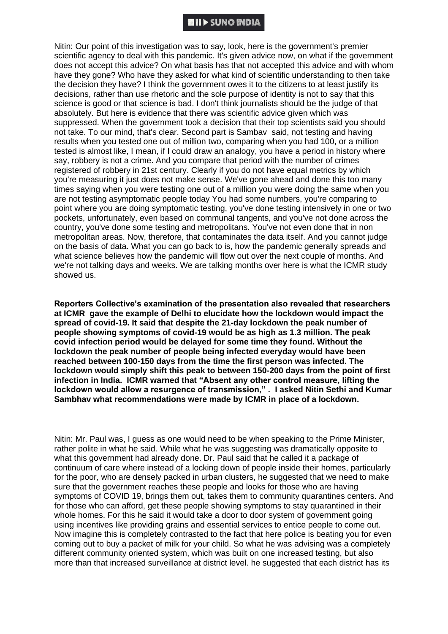### **NII)** SUNO INDIA

Nitin: Our point of this investigation was to say, look, here is the government's premier scientific agency to deal with this pandemic. It's given advice now, on what if the government does not accept this advice? On what basis has that not accepted this advice and with whom have they gone? Who have they asked for what kind of scientific understanding to then take the decision they have? I think the government owes it to the citizens to at least justify its decisions, rather than use rhetoric and the sole purpose of identity is not to say that this science is good or that science is bad. I don't think journalists should be the judge of that absolutely. But here is evidence that there was scientific advice given which was suppressed. When the government took a decision that their top scientists said you should not take. To our mind, that's clear. Second part is Sambav said, not testing and having results when you tested one out of million two, comparing when you had 100, or a million tested is almost like, I mean, if I could draw an analogy, you have a period in history where say, robbery is not a crime. And you compare that period with the number of crimes registered of robbery in 21st century. Clearly if you do not have equal metrics by which you're measuring it just does not make sense. We've gone ahead and done this too many times saying when you were testing one out of a million you were doing the same when you are not testing asymptomatic people today You had some numbers, you're comparing to point where you are doing symptomatic testing, you've done testing intensively in one or two pockets, unfortunately, even based on communal tangents, and you've not done across the country, you've done some testing and metropolitans. You've not even done that in non metropolitan areas. Now, therefore, that contaminates the data itself. And you cannot judge on the basis of data. What you can go back to is, how the pandemic generally spreads and what science believes how the pandemic will flow out over the next couple of months. And we're not talking days and weeks. We are talking months over here is what the ICMR study showed us.

**Reporters Collective's examination of the presentation also revealed that researchers at ICMR gave the example of Delhi to elucidate how the lockdown would impact the spread of covid-19. It said that despite the 21-day lockdown the peak number of people showing symptoms of covid-19 would be as high as 1.3 million. The peak covid infection period would be delayed for some time they found. Without the lockdown the peak number of people being infected everyday would have been reached between 100-150 days from the time the first person was infected. The lockdown would simply shift this peak to between 150-200 days from the point of first infection in India. ICMR warned that "Absent any other control measure, lifting the lockdown would allow a resurgence of transmission," . I asked Nitin Sethi and Kumar Sambhav what recommendations were made by ICMR in place of a lockdown.** 

Nitin: Mr. Paul was, I guess as one would need to be when speaking to the Prime Minister, rather polite in what he said. While what he was suggesting was dramatically opposite to what this government had already done. Dr. Paul said that he called it a package of continuum of care where instead of a locking down of people inside their homes, particularly for the poor, who are densely packed in urban clusters, he suggested that we need to make sure that the government reaches these people and looks for those who are having symptoms of COVID 19, brings them out, takes them to community quarantines centers. And for those who can afford, get these people showing symptoms to stay quarantined in their whole homes. For this he said it would take a door to door system of government going using incentives like providing grains and essential services to entice people to come out. Now imagine this is completely contrasted to the fact that here police is beating you for even coming out to buy a packet of milk for your child. So what he was advising was a completely different community oriented system, which was built on one increased testing, but also more than that increased surveillance at district level. he suggested that each district has its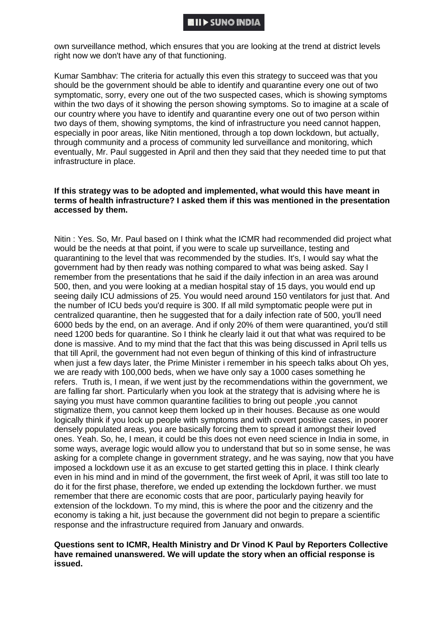own surveillance method, which ensures that you are looking at the trend at district levels right now we don't have any of that functioning.

Kumar Sambhav: The criteria for actually this even this strategy to succeed was that you should be the government should be able to identify and quarantine every one out of two symptomatic, sorry, every one out of the two suspected cases, which is showing symptoms within the two days of it showing the person showing symptoms. So to imagine at a scale of our country where you have to identify and quarantine every one out of two person within two days of them, showing symptoms, the kind of infrastructure you need cannot happen, especially in poor areas, like Nitin mentioned, through a top down lockdown, but actually, through community and a process of community led surveillance and monitoring, which eventually, Mr. Paul suggested in April and then they said that they needed time to put that infrastructure in place.

### **If this strategy was to be adopted and implemented, what would this have meant in terms of health infrastructure? I asked them if this was mentioned in the presentation accessed by them.**

Nitin : Yes. So, Mr. Paul based on I think what the ICMR had recommended did project what would be the needs at that point, if you were to scale up surveillance, testing and quarantining to the level that was recommended by the studies. It's, I would say what the government had by then ready was nothing compared to what was being asked. Say I remember from the presentations that he said if the daily infection in an area was around 500, then, and you were looking at a median hospital stay of 15 days, you would end up seeing daily ICU admissions of 25. You would need around 150 ventilators for just that. And the number of ICU beds you'd require is 300. If all mild symptomatic people were put in centralized quarantine, then he suggested that for a daily infection rate of 500, you'll need 6000 beds by the end, on an average. And if only 20% of them were quarantined, you'd still need 1200 beds for quarantine. So I think he clearly laid it out that what was required to be done is massive. And to my mind that the fact that this was being discussed in April tells us that till April, the government had not even begun of thinking of this kind of infrastructure when just a few days later, the Prime Minister i remember in his speech talks about Oh yes, we are ready with 100,000 beds, when we have only say a 1000 cases something he refers. Truth is, I mean, if we went just by the recommendations within the government, we are falling far short. Particularly when you look at the strategy that is advising where he is saying you must have common quarantine facilities to bring out people ,you cannot stigmatize them, you cannot keep them locked up in their houses. Because as one would logically think if you lock up people with symptoms and with covert positive cases, in poorer densely populated areas, you are basically forcing them to spread it amongst their loved ones. Yeah. So, he, I mean, it could be this does not even need science in India in some, in some ways, average logic would allow you to understand that but so in some sense, he was asking for a complete change in government strategy, and he was saying, now that you have imposed a lockdown use it as an excuse to get started getting this in place. I think clearly even in his mind and in mind of the government, the first week of April, it was still too late to do it for the first phase, therefore, we ended up extending the lockdown further. we must remember that there are economic costs that are poor, particularly paying heavily for extension of the lockdown. To my mind, this is where the poor and the citizenry and the economy is taking a hit, just because the government did not begin to prepare a scientific response and the infrastructure required from January and onwards.

### **Questions sent to ICMR, Health Ministry and Dr Vinod K Paul by Reporters Collective have remained unanswered. We will update the story when an official response is issued.**